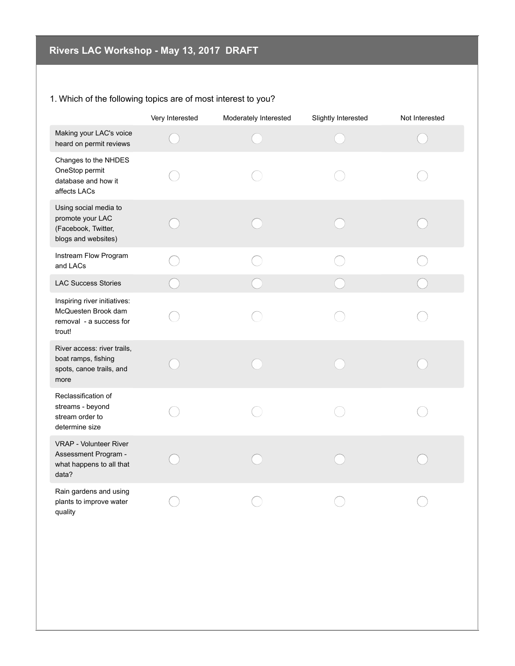## 1. Which of the following topics are of most interest to you?

|                                                                                          | Very Interested | Moderately Interested | Slightly Interested | Not Interested |
|------------------------------------------------------------------------------------------|-----------------|-----------------------|---------------------|----------------|
| Making your LAC's voice<br>heard on permit reviews                                       |                 |                       |                     |                |
| Changes to the NHDES<br>OneStop permit<br>database and how it<br>affects LACs            |                 |                       |                     |                |
| Using social media to<br>promote your LAC<br>(Facebook, Twitter,<br>blogs and websites)  |                 |                       |                     |                |
| Instream Flow Program<br>and LACs                                                        |                 |                       |                     |                |
| <b>LAC Success Stories</b>                                                               |                 |                       |                     |                |
| Inspiring river initiatives:<br>McQuesten Brook dam<br>removal - a success for<br>trout! |                 |                       |                     |                |
| River access: river trails,<br>boat ramps, fishing<br>spots, canoe trails, and<br>more   |                 |                       |                     |                |
| Reclassification of<br>streams - beyond<br>stream order to<br>determine size             |                 |                       |                     |                |
| VRAP - Volunteer River<br>Assessment Program -<br>what happens to all that<br>data?      |                 |                       |                     |                |
| Rain gardens and using<br>plants to improve water<br>quality                             |                 |                       |                     |                |